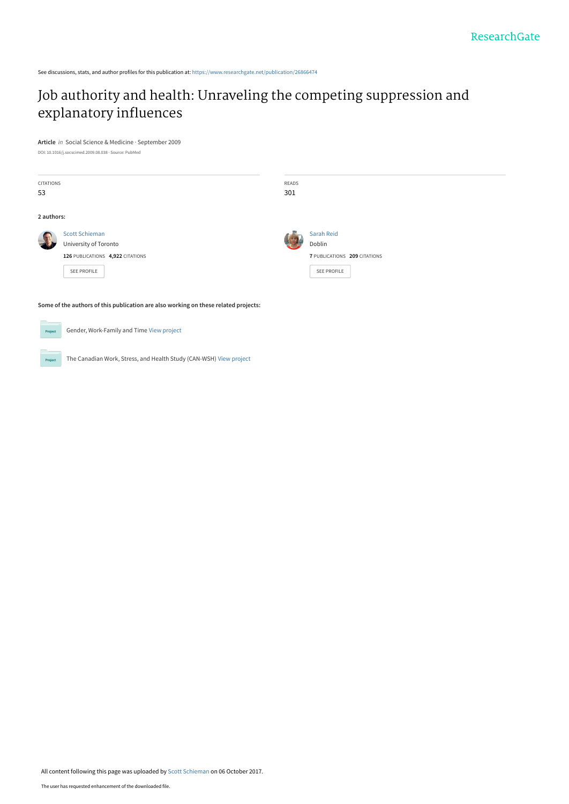See discussions, stats, and author profiles for this publication at: [https://www.researchgate.net/publication/26866474](https://www.researchgate.net/publication/26866474_Job_authority_and_health_Unraveling_the_competing_suppression_and_explanatory_influences?enrichId=rgreq-b791589a7a20b2c41e14f680ecb470c2-XXX&enrichSource=Y292ZXJQYWdlOzI2ODY2NDc0O0FTOjU0NjYwOTM1NjM0MTI0OEAxNTA3MzMzMjM0NDg1&el=1_x_2&_esc=publicationCoverPdf)

# [Job authority and health: Unraveling the competing suppression and](https://www.researchgate.net/publication/26866474_Job_authority_and_health_Unraveling_the_competing_suppression_and_explanatory_influences?enrichId=rgreq-b791589a7a20b2c41e14f680ecb470c2-XXX&enrichSource=Y292ZXJQYWdlOzI2ODY2NDc0O0FTOjU0NjYwOTM1NjM0MTI0OEAxNTA3MzMzMjM0NDg1&el=1_x_3&_esc=publicationCoverPdf) explanatory influences

**Article** in Social Science & Medicine · September 2009 DOI: 10.1016/j.socscimed.2009.08.038 · Source: PubMed

| CITATIONS    |                                  | READS |                              |
|--------------|----------------------------------|-------|------------------------------|
| 53           |                                  | 301   |                              |
|              |                                  |       |                              |
|              |                                  |       |                              |
| 2 authors:   |                                  |       |                              |
|              |                                  |       |                              |
| $\mathbf{G}$ | <b>Scott Schieman</b>            | 化身    | Sarah Reid                   |
|              | University of Toronto            |       | Doblin                       |
|              | 126 PUBLICATIONS 4,922 CITATIONS |       | 7 PUBLICATIONS 209 CITATIONS |
|              | SEE PROFILE                      |       | <b>SEE PROFILE</b>           |
|              |                                  |       |                              |
|              |                                  |       |                              |

**Some of the authors of this publication are also working on these related projects:**

 $Prc$ 

Pro

Gender, Work-Family and Time [View project](https://www.researchgate.net/project/Gender-Work-Family-and-Time?enrichId=rgreq-b791589a7a20b2c41e14f680ecb470c2-XXX&enrichSource=Y292ZXJQYWdlOzI2ODY2NDc0O0FTOjU0NjYwOTM1NjM0MTI0OEAxNTA3MzMzMjM0NDg1&el=1_x_9&_esc=publicationCoverPdf)

The Canadian Work, Stress, and Health Study (CAN-WSH) [View project](https://www.researchgate.net/project/The-Canadian-Work-Stress-and-Health-Study-CAN-WSH?enrichId=rgreq-b791589a7a20b2c41e14f680ecb470c2-XXX&enrichSource=Y292ZXJQYWdlOzI2ODY2NDc0O0FTOjU0NjYwOTM1NjM0MTI0OEAxNTA3MzMzMjM0NDg1&el=1_x_9&_esc=publicationCoverPdf)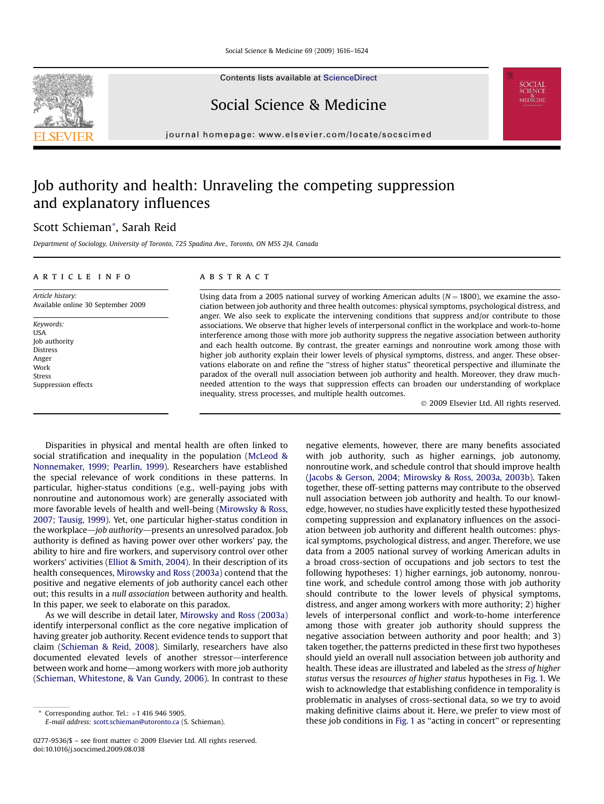Contents lists available at [ScienceDirect](www.sciencedirect.com/science/journal/02779536)

# Social Science & Medicine

journal homepage: [www.elsevier.com/locate/socscimed](http://www.elsevier.com/locate/socscimed)

# Job authority and health: Unraveling the competing suppression and explanatory influences

# Scott Schieman\*, Sarah Reid

Department of Sociology, University of Toronto, 725 Spadina Ave., Toronto, ON M5S 2J4, Canada

#### article info

Article history: Available online 30 September 2009

Keywords: USA Job authority Distress Anger Work Stress Suppression effects

# **ABSTRACT**

Using data from a 2005 national survey of working American adults ( $N = 1800$ ), we examine the association between job authority and three health outcomes: physical symptoms, psychological distress, and anger. We also seek to explicate the intervening conditions that suppress and/or contribute to those associations. We observe that higher levels of interpersonal conflict in the workplace and work-to-home interference among those with more job authority suppress the negative association between authority and each health outcome. By contrast, the greater earnings and nonroutine work among those with higher job authority explain their lower levels of physical symptoms, distress, and anger. These observations elaborate on and refine the ''stress of higher status'' theoretical perspective and illuminate the paradox of the overall null association between job authority and health. Moreover, they draw muchneeded attention to the ways that suppression effects can broaden our understanding of workplace inequality, stress processes, and multiple health outcomes.

- 2009 Elsevier Ltd. All rights reserved.

Disparities in physical and mental health are often linked to social stratification and inequality in the population ([McLeod &](#page-9-0) [Nonnemaker, 1999; Pearlin, 1999\)](#page-9-0). Researchers have established the special relevance of work conditions in these patterns. In particular, higher-status conditions (e.g., well-paying jobs with nonroutine and autonomous work) are generally associated with more favorable levels of health and well-being ([Mirowsky & Ross,](#page-9-0) [2007; Tausig, 1999](#page-9-0)). Yet, one particular higher-status condition in the workplace-job authority-presents an unresolved paradox. Job authority is defined as having power over other workers' pay, the ability to hire and fire workers, and supervisory control over other workers' activities ([Elliot & Smith, 2004\)](#page-8-0). In their description of its health consequences, [Mirowsky and Ross \(2003a\)](#page-9-0) contend that the positive and negative elements of job authority cancel each other out; this results in a null association between authority and health. In this paper, we seek to elaborate on this paradox.

As we will describe in detail later, [Mirowsky and Ross \(2003a\)](#page-9-0) identify interpersonal conflict as the core negative implication of having greater job authority. Recent evidence tends to support that claim [\(Schieman & Reid, 2008](#page-9-0)). Similarly, researchers have also documented elevated levels of another stressor-interference between work and home-among workers with more job authority ([Schieman, Whitestone, & Van Gundy, 2006](#page-9-0)). In contrast to these

Corresponding author. Tel.:  $+1$  416 946 5905. E-mail address: [scott.schieman@utoronto.ca](mailto:scott.schieman@utoronto.ca) (S. Schieman). negative elements, however, there are many benefits associated with job authority, such as higher earnings, job autonomy, nonroutine work, and schedule control that should improve health ([Jacobs & Gerson, 2004; Mirowsky & Ross, 2003a, 2003b](#page-9-0)). Taken together, these off-setting patterns may contribute to the observed null association between job authority and health. To our knowledge, however, no studies have explicitly tested these hypothesized competing suppression and explanatory influences on the association between job authority and different health outcomes: physical symptoms, psychological distress, and anger. Therefore, we use data from a 2005 national survey of working American adults in a broad cross-section of occupations and job sectors to test the following hypotheses: 1) higher earnings, job autonomy, nonroutine work, and schedule control among those with job authority should contribute to the lower levels of physical symptoms, distress, and anger among workers with more authority; 2) higher levels of interpersonal conflict and work-to-home interference among those with greater job authority should suppress the negative association between authority and poor health; and 3) taken together, the patterns predicted in these first two hypotheses should yield an overall null association between job authority and health. These ideas are illustrated and labeled as the stress of higher status versus the resources of higher status hypotheses in [Fig. 1.](#page-2-0) We wish to acknowledge that establishing confidence in temporality is problematic in analyses of cross-sectional data, so we try to avoid making definitive claims about it. Here, we prefer to view most of these job conditions in [Fig. 1](#page-2-0) as ''acting in concert'' or representing





<sup>0277-9536/\$ –</sup> see front matter © 2009 Elsevier Ltd. All rights reserved. doi:10.1016/j.socscimed.2009.08.038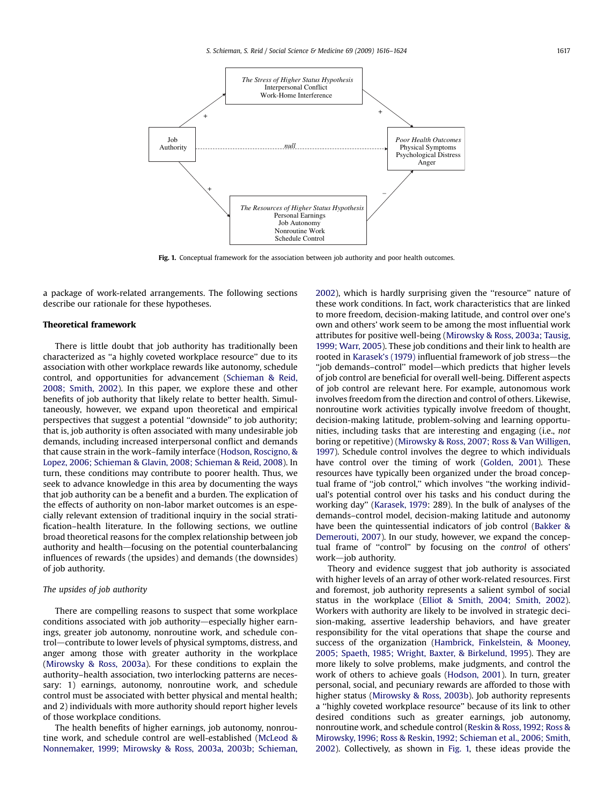<span id="page-2-0"></span>

Fig. 1. Conceptual framework for the association between job authority and poor health outcomes.

a package of work-related arrangements. The following sections describe our rationale for these hypotheses.

# Theoretical framework

There is little doubt that job authority has traditionally been characterized as ''a highly coveted workplace resource'' due to its association with other workplace rewards like autonomy, schedule control, and opportunities for advancement ([Schieman & Reid,](#page-9-0) [2008; Smith, 2002](#page-9-0)). In this paper, we explore these and other benefits of job authority that likely relate to better health. Simultaneously, however, we expand upon theoretical and empirical perspectives that suggest a potential ''downside'' to job authority; that is, job authority is often associated with many undesirable job demands, including increased interpersonal conflict and demands that cause strain in the work–family interface ([Hodson, Roscigno, &](#page-9-0) [Lopez, 2006; Schieman & Glavin, 2008; Schieman & Reid, 2008\)](#page-9-0). In turn, these conditions may contribute to poorer health. Thus, we seek to advance knowledge in this area by documenting the ways that job authority can be a benefit and a burden. The explication of the effects of authority on non-labor market outcomes is an especially relevant extension of traditional inquiry in the social stratification–health literature. In the following sections, we outline broad theoretical reasons for the complex relationship between job authority and health-focusing on the potential counterbalancing influences of rewards (the upsides) and demands (the downsides) of job authority.

# The upsides of job authority

There are compelling reasons to suspect that some workplace conditions associated with job authority-especially higher earnings, greater job autonomy, nonroutine work, and schedule control—contribute to lower levels of physical symptoms, distress, and anger among those with greater authority in the workplace ([Mirowsky & Ross, 2003a\)](#page-9-0). For these conditions to explain the authority–health association, two interlocking patterns are necessary: 1) earnings, autonomy, nonroutine work, and schedule control must be associated with better physical and mental health; and 2) individuals with more authority should report higher levels of those workplace conditions.

The health benefits of higher earnings, job autonomy, nonroutine work, and schedule control are well-established ([McLeod &](#page-9-0) [Nonnemaker, 1999; Mirowsky & Ross, 2003a, 2003b; Schieman,](#page-9-0) [2002\)](#page-9-0), which is hardly surprising given the ''resource'' nature of these work conditions. In fact, work characteristics that are linked to more freedom, decision-making latitude, and control over one's own and others' work seem to be among the most influential work attributes for positive well-being [\(Mirowsky & Ross, 2003a; Tausig,](#page-9-0) [1999; Warr, 2005\)](#page-9-0). These job conditions and their link to health are rooted in [Karasek's \(1979\)](#page-9-0) influential framework of job stress-the "iob demands–control" model—which predicts that higher levels of job control are beneficial for overall well-being. Different aspects of job control are relevant here. For example, autonomous work involves freedom from the direction and control of others. Likewise, nonroutine work activities typically involve freedom of thought, decision-making latitude, problem-solving and learning opportunities, including tasks that are interesting and engaging (i.e., not boring or repetitive) ([Mirowsky & Ross, 2007; Ross & Van Willigen,](#page-9-0) [1997\)](#page-9-0). Schedule control involves the degree to which individuals have control over the timing of work [\(Golden, 2001](#page-8-0)). These resources have typically been organized under the broad conceptual frame of "job control," which involves "the working individual's potential control over his tasks and his conduct during the working day'' [\(Karasek, 1979](#page-9-0): 289). In the bulk of analyses of the demands–control model, decision-making latitude and autonomy have been the quintessential indicators of job control [\(Bakker &](#page-8-0) [Demerouti, 2007\)](#page-8-0). In our study, however, we expand the conceptual frame of ''control'' by focusing on the control of others' work-job authority.

Theory and evidence suggest that job authority is associated with higher levels of an array of other work-related resources. First and foremost, job authority represents a salient symbol of social status in the workplace ([Elliot & Smith, 2004; Smith, 2002\)](#page-8-0). Workers with authority are likely to be involved in strategic decision-making, assertive leadership behaviors, and have greater responsibility for the vital operations that shape the course and success of the organization ([Hambrick, Finkelstein, & Mooney,](#page-9-0) [2005; Spaeth, 1985; Wright, Baxter, & Birkelund, 1995](#page-9-0)). They are more likely to solve problems, make judgments, and control the work of others to achieve goals [\(Hodson, 2001\)](#page-9-0). In turn, greater personal, social, and pecuniary rewards are afforded to those with higher status [\(Mirowsky & Ross, 2003b](#page-9-0)). Job authority represents a ''highly coveted workplace resource'' because of its link to other desired conditions such as greater earnings, job autonomy, nonroutine work, and schedule control [\(Reskin & Ross, 1992; Ross &](#page-9-0) [Mirowsky, 1996; Ross & Reskin, 1992; Schieman et al., 2006; Smith,](#page-9-0) [2002\)](#page-9-0). Collectively, as shown in Fig. 1, these ideas provide the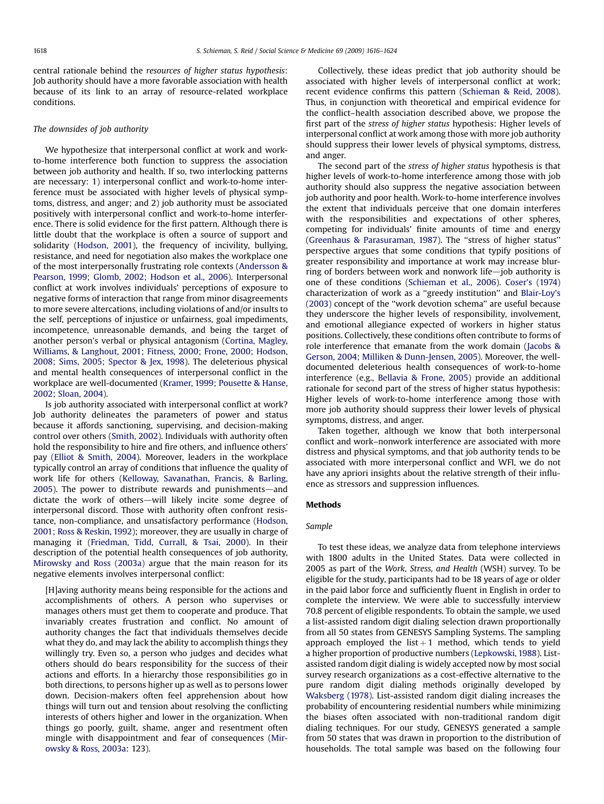central rationale behind the resources of higher status hypothesis: Job authority should have a more favorable association with health because of its link to an array of resource-related workplace conditions.

# The downsides of job authority

We hypothesize that interpersonal conflict at work and workto-home interference both function to suppress the association between job authority and health. If so, two interlocking patterns are necessary: 1) interpersonal conflict and work-to-home interference must be associated with higher levels of physical symptoms, distress, and anger; and 2) job authority must be associated positively with interpersonal conflict and work-to-home interference. There is solid evidence for the first pattern. Although there is little doubt that the workplace is often a source of support and solidarity [\(Hodson, 2001\)](#page-9-0), the frequency of incivility, bullying, resistance, and need for negotiation also makes the workplace one of the most interpersonally frustrating role contexts ([Andersson &](#page-8-0) [Pearson, 1999; Glomb, 2002; Hodson et al., 2006\)](#page-8-0). Interpersonal conflict at work involves individuals' perceptions of exposure to negative forms of interaction that range from minor disagreements to more severe altercations, including violations of and/or insults to the self, perceptions of injustice or unfairness, goal impediments, incompetence, unreasonable demands, and being the target of another person's verbal or physical antagonism [\(Cortina, Magley,](#page-8-0) [Williams, & Langhout, 2001; Fitness, 2000; Frone, 2000; Hodson,](#page-8-0) [2008; Sims, 2005; Spector & Jex, 1998](#page-8-0)). The deleterious physical and mental health consequences of interpersonal conflict in the workplace are well-documented ([Kramer, 1999; Pousette & Hanse,](#page-9-0) [2002; Sloan, 2004\)](#page-9-0).

Is job authority associated with interpersonal conflict at work? Job authority delineates the parameters of power and status because it affords sanctioning, supervising, and decision-making control over others [\(Smith, 2002\)](#page-9-0). Individuals with authority often hold the responsibility to hire and fire others, and influence others' pay [\(Elliot & Smith, 2004](#page-8-0)). Moreover, leaders in the workplace typically control an array of conditions that influence the quality of work life for others ([Kelloway, Savanathan, Francis, & Barling,](#page-9-0)  $2005$ ). The power to distribute rewards and punishments—and dictate the work of others-will likely incite some degree of interpersonal discord. Those with authority often confront resistance, non-compliance, and unsatisfactory performance [\(Hodson,](#page-9-0) [2001; Ross & Reskin, 1992](#page-9-0)); moreover, they are usually in charge of managing it ([Friedman, Tidd, Currall, & Tsai, 2000](#page-8-0)). In their description of the potential health consequences of job authority, [Mirowsky and Ross \(2003a\)](#page-9-0) argue that the main reason for its negative elements involves interpersonal conflict:

[H]aving authority means being responsible for the actions and accomplishments of others. A person who supervises or manages others must get them to cooperate and produce. That invariably creates frustration and conflict. No amount of authority changes the fact that individuals themselves decide what they do, and may lack the ability to accomplish things they willingly try. Even so, a person who judges and decides what others should do bears responsibility for the success of their actions and efforts. In a hierarchy those responsibilities go in both directions, to persons higher up as well as to persons lower down. Decision-makers often feel apprehension about how things will turn out and tension about resolving the conflicting interests of others higher and lower in the organization. When things go poorly, guilt, shame, anger and resentment often mingle with disappointment and fear of consequences [\(Mir](#page-9-0)[owsky & Ross, 2003a](#page-9-0): 123).

Collectively, these ideas predict that job authority should be associated with higher levels of interpersonal conflict at work; recent evidence confirms this pattern [\(Schieman & Reid, 2008\)](#page-9-0). Thus, in conjunction with theoretical and empirical evidence for the conflict–health association described above, we propose the first part of the stress of higher status hypothesis: Higher levels of interpersonal conflict at work among those with more job authority should suppress their lower levels of physical symptoms, distress, and anger.

The second part of the stress of higher status hypothesis is that higher levels of work-to-home interference among those with job authority should also suppress the negative association between job authority and poor health. Work-to-home interference involves the extent that individuals perceive that one domain interferes with the responsibilities and expectations of other spheres, competing for individuals' finite amounts of time and energy ([Greenhaus & Parasuraman, 1987](#page-8-0)). The ''stress of higher status'' perspective argues that some conditions that typify positions of greater responsibility and importance at work may increase blurring of borders between work and nonwork life-job authority is one of these conditions ([Schieman et al., 2006](#page-9-0)). [Coser's \(1974\)](#page-8-0) characterization of work as a ''greedy institution'' and [Blair-Loy's](#page-8-0) [\(2003\)](#page-8-0) concept of the ''work devotion schema'' are useful because they underscore the higher levels of responsibility, involvement, and emotional allegiance expected of workers in higher status positions. Collectively, these conditions often contribute to forms of role interference that emanate from the work domain ([Jacobs &](#page-9-0) [Gerson, 2004; Milliken & Dunn-Jensen, 2005](#page-9-0)). Moreover, the welldocumented deleterious health consequences of work-to-home interference (e.g., [Bellavia & Frone, 2005\)](#page-8-0) provide an additional rationale for second part of the stress of higher status hypothesis: Higher levels of work-to-home interference among those with more job authority should suppress their lower levels of physical symptoms, distress, and anger.

Taken together, although we know that both interpersonal conflict and work–nonwork interference are associated with more distress and physical symptoms, and that job authority tends to be associated with more interpersonal conflict and WFI, we do not have any apriori insights about the relative strength of their influence as stressors and suppression influences.

# **Methods**

# Sample

To test these ideas, we analyze data from telephone interviews with 1800 adults in the United States. Data were collected in 2005 as part of the Work, Stress, and Health (WSH) survey. To be eligible for the study, participants had to be 18 years of age or older in the paid labor force and sufficiently fluent in English in order to complete the interview. We were able to successfully interview 70.8 percent of eligible respondents. To obtain the sample, we used a list-assisted random digit dialing selection drawn proportionally from all 50 states from GENESYS Sampling Systems. The sampling approach employed the list  $+1$  method, which tends to yield a higher proportion of productive numbers ([Lepkowski, 1988\)](#page-9-0). Listassisted random digit dialing is widely accepted now by most social survey research organizations as a cost-effective alternative to the pure random digit dialing methods originally developed by [Waksberg \(1978\).](#page-9-0) List-assisted random digit dialing increases the probability of encountering residential numbers while minimizing the biases often associated with non-traditional random digit dialing techniques. For our study, GENESYS generated a sample from 50 states that was drawn in proportion to the distribution of households. The total sample was based on the following four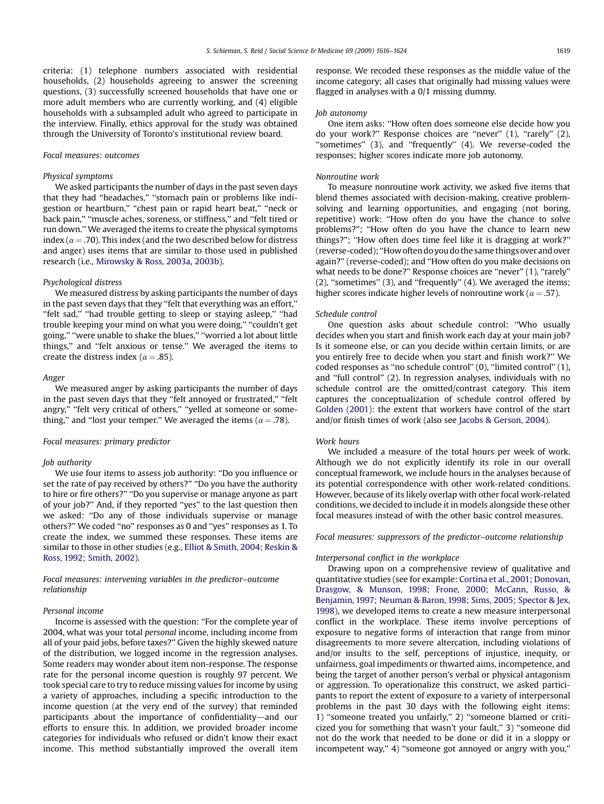criteria: (1) telephone numbers associated with residential households, (2) households agreeing to answer the screening questions, (3) successfully screened households that have one or more adult members who are currently working, and (4) eligible households with a subsampled adult who agreed to participate in the interview. Finally, ethics approval for the study was obtained through the University of Toronto's institutional review board.

# Focal measures: outcomes

# Physical symptoms

We asked participants the number of days in the past seven days that they had ''headaches,'' ''stomach pain or problems like indigestion or heartburn," "chest pain or rapid heart beat," "neck or back pain,'' ''muscle aches, soreness, or stiffness,'' and ''felt tired or run down.'' We averaged the items to create the physical symptoms index ( $\alpha$  = .70). This index (and the two described below for distress and anger) uses items that are similar to those used in published research (i.e., [Mirowsky & Ross, 2003a, 2003b](#page-9-0)).

#### Psychological distress

We measured distress by asking participants the number of days in the past seven days that they ''felt that everything was an effort,'' ''felt sad,'' ''had trouble getting to sleep or staying asleep,'' ''had trouble keeping your mind on what you were doing,'' ''couldn't get going,'' ''were unable to shake the blues,'' ''worried a lot about little things,'' and ''felt anxious or tense.'' We averaged the items to create the distress index ( $\alpha = .85$ ).

#### Anger

We measured anger by asking participants the number of days in the past seven days that they "felt annoyed or frustrated," "felt angry," "felt very critical of others," "yelled at someone or something," and "lost your temper." We averaged the items ( $\alpha = .78$ ).

#### Focal measures: primary predictor

#### Job authority

We use four items to assess job authority: ''Do you influence or set the rate of pay received by others?'' ''Do you have the authority to hire or fire others?'' ''Do you supervise or manage anyone as part of your job?'' And, if they reported ''yes'' to the last question then we asked: ''Do any of those individuals supervise or manage others?'' We coded ''no'' responses as 0 and ''yes'' responses as 1. To create the index, we summed these responses. These items are similar to those in other studies (e.g., [Elliot & Smith, 2004; Reskin &](#page-8-0) [Ross, 1992; Smith, 2002\)](#page-8-0).

# Focal measures: intervening variables in the predictor–outcome relationship

# Personal income

Income is assessed with the question: ''For the complete year of 2004, what was your total personal income, including income from all of your paid jobs, before taxes?'' Given the highly skewed nature of the distribution, we logged income in the regression analyses. Some readers may wonder about item non-response. The response rate for the personal income question is roughly 97 percent. We took special care to try to reduce missing values for income by using a variety of approaches, including a specific introduction to the income question (at the very end of the survey) that reminded participants about the importance of confidentiality—and our efforts to ensure this. In addition, we provided broader income categories for individuals who refused or didn't know their exact income. This method substantially improved the overall item

response. We recoded these responses as the middle value of the income category; all cases that originally had missing values were flagged in analyses with a 0/1 missing dummy.

# Job autonomy

One item asks: ''How often does someone else decide how you do your work?'' Response choices are ''never'' (1), ''rarely'' (2), "sometimes" (3), and "frequently" (4). We reverse-coded the responses; higher scores indicate more job autonomy.

#### Nonroutine work

To measure nonroutine work activity, we asked five items that blend themes associated with decision-making, creative problemsolving and learning opportunities, and engaging (not boring, repetitive) work: ''How often do you have the chance to solve problems?''; ''How often do you have the chance to learn new things?''; ''How often does time feel like it is dragging at work?'' (reverse-coded); ''How often do you do the same things over and over again?'' (reverse-coded); and ''How often do you make decisions on what needs to be done?" Response choices are "never" (1), "rarely" (2), ''sometimes'' (3), and ''frequently'' (4). We averaged the items; higher scores indicate higher levels of nonroutine work ( $\alpha = .57$ ).

#### Schedule control

One question asks about schedule control: ''Who usually decides when you start and finish work each day at your main job? Is it someone else, or can you decide within certain limits, or are you entirely free to decide when you start and finish work?'' We coded responses as ''no schedule control'' (0), ''limited control'' (1), and ''full control'' (2). In regression analyses, individuals with no schedule control are the omitted/contrast category. This item captures the conceptualization of schedule control offered by [Golden \(2001\):](#page-8-0) the extent that workers have control of the start and/or finish times of work (also see [Jacobs & Gerson, 2004\)](#page-9-0).

#### Work hours

We included a measure of the total hours per week of work. Although we do not explicitly identify its role in our overall conceptual framework, we include hours in the analyses because of its potential correspondence with other work-related conditions. However, because of its likely overlap with other focal work-related conditions, we decided to include it in models alongside these other focal measures instead of with the other basic control measures.

# Focal measures: suppressors of the predictor–outcome relationship

#### Interpersonal conflict in the workplace

Drawing upon on a comprehensive review of qualitative and quantitative studies (see for example: [Cortina et al., 2001; Donovan,](#page-8-0) [Drasgow, & Munson, 1998; Frone, 2000; McCann, Russo, &](#page-8-0) [Benjamin, 1997; Neuman & Baron, 1998; Sims, 2005; Spector & Jex,](#page-8-0) [1998\)](#page-8-0), we developed items to create a new measure interpersonal conflict in the workplace. These items involve perceptions of exposure to negative forms of interaction that range from minor disagreements to more severe altercation, including violations of and/or insults to the self, perceptions of injustice, inequity, or unfairness, goal impediments or thwarted aims, incompetence, and being the target of another person's verbal or physical antagonism or aggression. To operationalize this construct, we asked participants to report the extent of exposure to a variety of interpersonal problems in the past 30 days with the following eight items: 1) ''someone treated you unfairly,'' 2) ''someone blamed or criticized you for something that wasn't your fault,'' 3) ''someone did not do the work that needed to be done or did it in a sloppy or incompetent way,'' 4) ''someone got annoyed or angry with you,''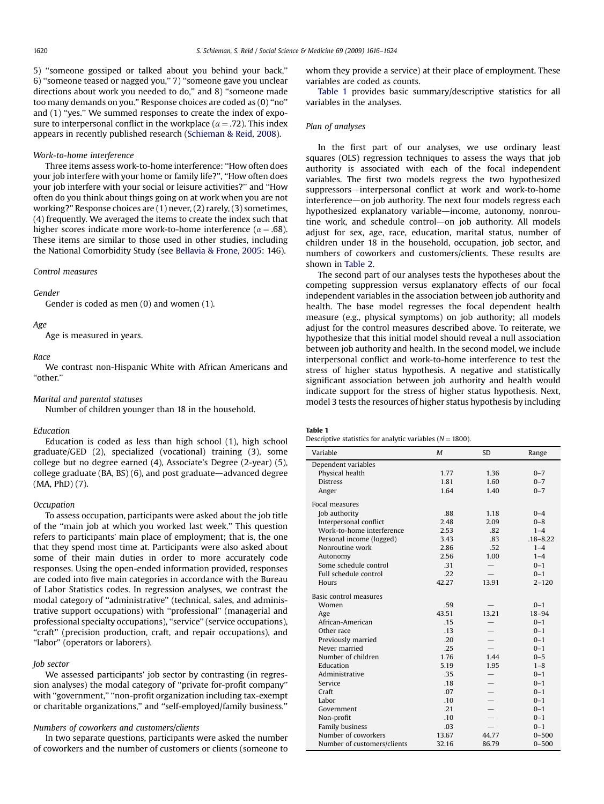5) ''someone gossiped or talked about you behind your back,'' 6) ''someone teased or nagged you,'' 7) ''someone gave you unclear directions about work you needed to do," and 8) "someone made too many demands on you.'' Response choices are coded as (0) ''no'' and (1) "yes." We summed responses to create the index of exposure to interpersonal conflict in the workplace ( $\alpha = .72$ ). This index appears in recently published research ([Schieman & Reid, 2008\)](#page-9-0).

# Work-to-home interference

Three items assess work-to-home interference: ''How often does your job interfere with your home or family life?'', ''How often does your job interfere with your social or leisure activities?'' and ''How often do you think about things going on at work when you are not working?'' Response choices are (1) never, (2) rarely, (3) sometimes, (4) frequently. We averaged the items to create the index such that higher scores indicate more work-to-home interference ( $\alpha = .68$ ). These items are similar to those used in other studies, including the National Comorbidity Study (see [Bellavia & Frone, 2005](#page-8-0): 146).

# Control measures

#### Gender

Gender is coded as men (0) and women (1).

# Age

Age is measured in years.

# Race

We contrast non-Hispanic White with African Americans and ''other.''

### Marital and parental statuses

Number of children younger than 18 in the household.

#### Education

Education is coded as less than high school (1), high school graduate/GED (2), specialized (vocational) training (3), some college but no degree earned (4), Associate's Degree (2-year) (5), college graduate (BA, BS)  $(6)$ , and post graduate—advanced degree (MA, PhD) (7).

# **Occupation**

To assess occupation, participants were asked about the job title of the ''main job at which you worked last week.'' This question refers to participants' main place of employment; that is, the one that they spend most time at. Participants were also asked about some of their main duties in order to more accurately code responses. Using the open-ended information provided, responses are coded into five main categories in accordance with the Bureau of Labor Statistics codes. In regression analyses, we contrast the modal category of ''administrative'' (technical, sales, and administrative support occupations) with ''professional'' (managerial and professional specialty occupations), ''service'' (service occupations), "craft" (precision production, craft, and repair occupations), and "labor" (operators or laborers).

## Job sector

We assessed participants' job sector by contrasting (in regression analyses) the modal category of ''private for-profit company'' with "government," "non-profit organization including tax-exempt or charitable organizations,'' and ''self-employed/family business.''

# Numbers of coworkers and customers/clients

In two separate questions, participants were asked the number of coworkers and the number of customers or clients (someone to whom they provide a service) at their place of employment. These variables are coded as counts.

Table 1 provides basic summary/descriptive statistics for all variables in the analyses.

# Plan of analyses

In the first part of our analyses, we use ordinary least squares (OLS) regression techniques to assess the ways that job authority is associated with each of the focal independent variables. The first two models regress the two hypothesized suppressors-interpersonal conflict at work and work-to-home interference-on job authority. The next four models regress each hypothesized explanatory variable—income, autonomy, nonroutine work, and schedule control-on job authority. All models adjust for sex, age, race, education, marital status, number of children under 18 in the household, occupation, job sector, and numbers of coworkers and customers/clients. These results are shown in [Table 2](#page-6-0).

The second part of our analyses tests the hypotheses about the competing suppression versus explanatory effects of our focal independent variables in the association between job authority and health. The base model regresses the focal dependent health measure (e.g., physical symptoms) on job authority; all models adjust for the control measures described above. To reiterate, we hypothesize that this initial model should reveal a null association between job authority and health. In the second model, we include interpersonal conflict and work-to-home interference to test the stress of higher status hypothesis. A negative and statistically significant association between job authority and health would indicate support for the stress of higher status hypothesis. Next, model 3 tests the resources of higher status hypothesis by including

#### Table 1

Descriptive statistics for analytic variables ( $N = 1800$ ).

| Variable                    | M     | <b>SD</b> | Range        |
|-----------------------------|-------|-----------|--------------|
| Dependent variables         |       |           |              |
| Physical health             | 1.77  | 1.36      | $0 - 7$      |
| <b>Distress</b>             | 1.81  | 1.60      | $0 - 7$      |
| Anger                       | 1.64  | 1.40      | $0 - 7$      |
| Focal measures              |       |           |              |
| Job authority               | .88   | 1.18      | $0 - 4$      |
| Interpersonal conflict      | 2.48  | 2.09      | $0 - 8$      |
| Work-to-home interference   | 2.53  | .82       | $1 - 4$      |
| Personal income (logged)    | 3.43  | .83       | $.18 - 8.22$ |
| Nonroutine work             | 2.86  | .52       | $1 - 4$      |
| Autonomy                    | 2.56  | 1.00      | $1 - 4$      |
| Some schedule control       | .31   |           | $0 - 1$      |
| Full schedule control       | .22   |           | $0 - 1$      |
| Hours                       | 42.27 | 13.91     | $2 - 120$    |
| Basic control measures      |       |           |              |
| Women                       | .59   |           | $0 - 1$      |
| Age                         | 43.51 | 13.21     | $18 - 94$    |
| African-American            | .15   |           | $0 - 1$      |
| Other race                  | .13   |           | $0 - 1$      |
| Previously married          | .20   |           | $0 - 1$      |
| Never married               | .25   |           | $0 - 1$      |
| Number of children          | 1.76  | 1.44      | $0 - 5$      |
| Education                   | 5.19  | 1.95      | $1 - 8$      |
| Administrative              | .35   |           | $0 - 1$      |
| Service                     | .18   |           | $0 - 1$      |
| Craft                       | .07   |           | $0 - 1$      |
| Labor                       | .10   |           | $0 - 1$      |
| Government                  | .21   |           | $0 - 1$      |
| Non-profit                  | .10   |           | $0 - 1$      |
| Family business             | .03   |           | $0 - 1$      |
| Number of coworkers         | 13.67 | 44.77     | $0 - 500$    |
| Number of customers/clients | 32.16 | 86.79     | $0 - 500$    |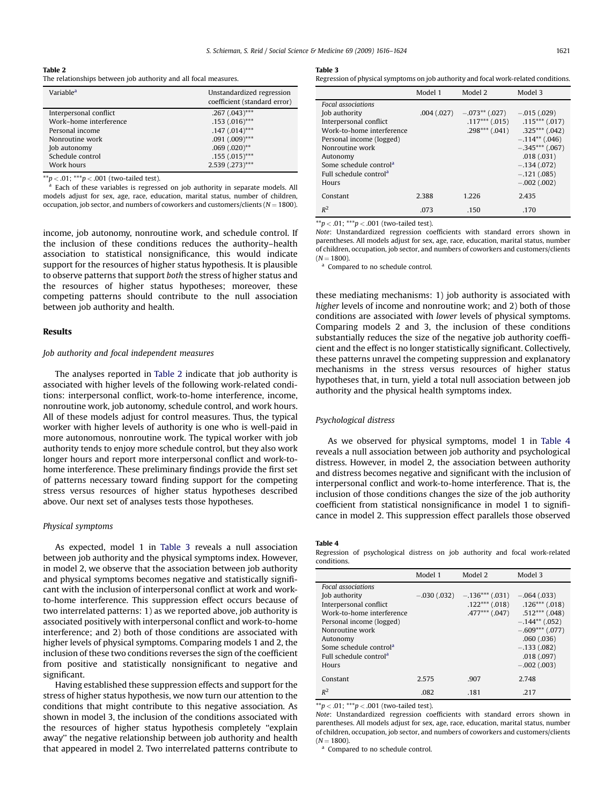#### <span id="page-6-0"></span>Table 2

The relationships between job authority and all focal measures.

| Variable <sup>a</sup>  | Unstandardized regression<br>coefficient (standard error) |
|------------------------|-----------------------------------------------------------|
| Interpersonal conflict | $.267(.043)$ ***                                          |
| Work-home interference | $.153(.016)$ ***                                          |
| Personal income        | $.147(.014)$ ***                                          |
| Nonroutine work        | $.091(.009)$ ***                                          |
| Job autonomy           | $.069(.020)$ **                                           |
| Schedule control       | $.155(.015)$ ***                                          |
| Work hours             | $2.539(.273)***$                                          |

\*\*p < .01; \*\*\*p < .001 (two-tailed test).

Each of these variables is regressed on job authority in separate models. All models adjust for sex, age, race, education, marital status, number of children, occupation, job sector, and numbers of coworkers and customers/clients  $(N = 1800)$ .

income, job autonomy, nonroutine work, and schedule control. If the inclusion of these conditions reduces the authority–health association to statistical nonsignificance, this would indicate support for the resources of higher status hypothesis. It is plausible to observe patterns that support both the stress of higher status and the resources of higher status hypotheses; moreover, these competing patterns should contribute to the null association between job authority and health.

# Results

# Job authority and focal independent measures

The analyses reported in Table 2 indicate that job authority is associated with higher levels of the following work-related conditions: interpersonal conflict, work-to-home interference, income, nonroutine work, job autonomy, schedule control, and work hours. All of these models adjust for control measures. Thus, the typical worker with higher levels of authority is one who is well-paid in more autonomous, nonroutine work. The typical worker with job authority tends to enjoy more schedule control, but they also work longer hours and report more interpersonal conflict and work-tohome interference. These preliminary findings provide the first set of patterns necessary toward finding support for the competing stress versus resources of higher status hypotheses described above. Our next set of analyses tests those hypotheses.

#### Physical symptoms

As expected, model 1 in Table 3 reveals a null association between job authority and the physical symptoms index. However, in model 2, we observe that the association between job authority and physical symptoms becomes negative and statistically significant with the inclusion of interpersonal conflict at work and workto-home interference. This suppression effect occurs because of two interrelated patterns: 1) as we reported above, job authority is associated positively with interpersonal conflict and work-to-home interference; and 2) both of those conditions are associated with higher levels of physical symptoms. Comparing models 1 and 2, the inclusion of these two conditions reverses the sign of the coefficient from positive and statistically nonsignificant to negative and significant.

Having established these suppression effects and support for the stress of higher status hypothesis, we now turn our attention to the conditions that might contribute to this negative association. As shown in model 3, the inclusion of the conditions associated with the resources of higher status hypothesis completely ''explain away'' the negative relationship between job authority and health that appeared in model 2. Two interrelated patterns contribute to

#### Table 3

Regression of physical symptoms on job authority and focal work-related conditions.

|                                    | Model 1    | Model 2            | Model 3            |
|------------------------------------|------------|--------------------|--------------------|
| Focal associations                 |            |                    |                    |
| Job authority                      | .004(.027) | $-.073**(.027)$    | $-.015(.029)$      |
| Interpersonal conflict             |            | $.117***(.015)$    | $.115***(.017)$    |
| Work-to-home interference          |            | $.298***$ $(.041)$ | $.325***$ $(.042)$ |
| Personal income (logged)           |            |                    | $-.114**(.046)$    |
| Nonroutine work                    |            |                    | $-.345***$ (.067)  |
| Autonomy                           |            |                    | .018(.031)         |
| Some schedule control <sup>a</sup> |            |                    | $-.134(.072)$      |
| Full schedule control <sup>a</sup> |            |                    | $-.121(.085)$      |
| Hours                              |            |                    | $-.002(.002)$      |
| Constant                           | 2.388      | 1.226              | 2.435              |
| $R^2$                              | .073       | .150               | .170               |

\*\* $p < .01$ ; \*\*\* $p < .001$  (two-tailed test).

Note: Unstandardized regression coefficients with standard errors shown in parentheses. All models adjust for sex, age, race, education, marital status, number of children, occupation, job sector, and numbers of coworkers and customers/clients  $(N = 1800)$ .

<sup>a</sup> Compared to no schedule control.

these mediating mechanisms: 1) job authority is associated with higher levels of income and nonroutine work; and 2) both of those conditions are associated with lower levels of physical symptoms. Comparing models 2 and 3, the inclusion of these conditions substantially reduces the size of the negative job authority coefficient and the effect is no longer statistically significant. Collectively, these patterns unravel the competing suppression and explanatory mechanisms in the stress versus resources of higher status hypotheses that, in turn, yield a total null association between job authority and the physical health symptoms index.

# Psychological distress

As we observed for physical symptoms, model 1 in Table 4 reveals a null association between job authority and psychological distress. However, in model 2, the association between authority and distress becomes negative and significant with the inclusion of interpersonal conflict and work-to-home interference. That is, the inclusion of those conditions changes the size of the job authority coefficient from statistical nonsignificance in model 1 to significance in model 2. This suppression effect parallels those observed

#### Table 4

Regression of psychological distress on job authority and focal work-related conditions.

|                                    | Model 1 | Model 2                        | Model 3          |
|------------------------------------|---------|--------------------------------|------------------|
| Focal associations                 |         |                                |                  |
| Job authority                      |         | $-.030(.032)$ $-.136***(.031)$ | $-.064(.033)$    |
| Interpersonal conflict             |         | $.122***(.018)$                | $.126***(.018)$  |
| Work-to-home interference          |         | $.477***$ (.047)               | $.512***$ (.048) |
| Personal income (logged)           |         |                                | $-.144**(.052)$  |
| Nonroutine work                    |         |                                | $-.609***(.077)$ |
| Autonomy                           |         |                                | .060(.036)       |
| Some schedule control <sup>a</sup> |         |                                | $-.133(.082)$    |
| Full schedule control <sup>a</sup> |         |                                | .018(.097)       |
| Hours                              |         |                                | $-.002(.003)$    |
| Constant                           | 2.575   | .907                           | 2.748            |
| $R^2$                              | .082    | .181                           | .217             |

\*\*p < .01; \*\*\*p < .001 (two-tailed test).

Note: Unstandardized regression coefficients with standard errors shown in parentheses. All models adjust for sex, age, race, education, marital status, number of children, occupation, job sector, and numbers of coworkers and customers/clients  $(N = 1800)$ .

<sup>a</sup> Compared to no schedule control.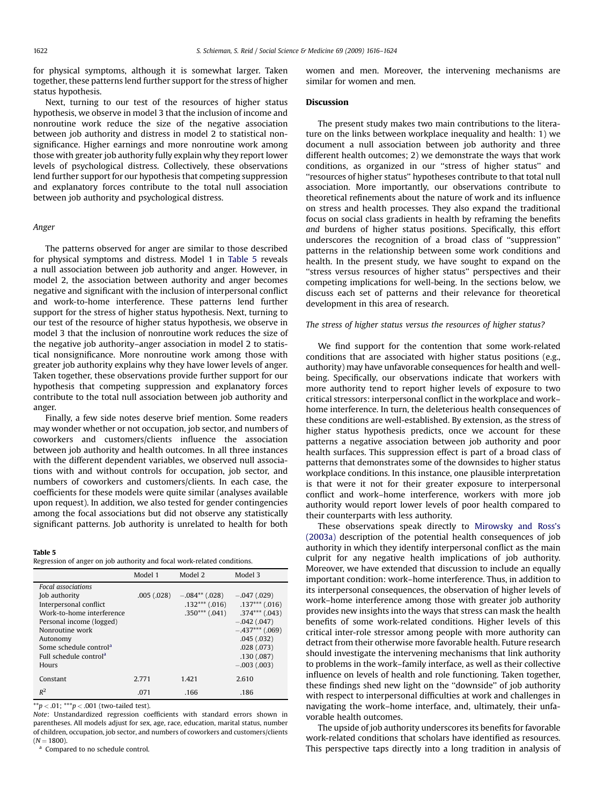for physical symptoms, although it is somewhat larger. Taken together, these patterns lend further support for the stress of higher status hypothesis.

Next, turning to our test of the resources of higher status hypothesis, we observe in model 3 that the inclusion of income and nonroutine work reduce the size of the negative association between job authority and distress in model 2 to statistical nonsignificance. Higher earnings and more nonroutine work among those with greater job authority fully explain why they report lower levels of psychological distress. Collectively, these observations lend further support for our hypothesis that competing suppression and explanatory forces contribute to the total null association between job authority and psychological distress.

# Anger

The patterns observed for anger are similar to those described for physical symptoms and distress. Model 1 in Table 5 reveals a null association between job authority and anger. However, in model 2, the association between authority and anger becomes negative and significant with the inclusion of interpersonal conflict and work-to-home interference. These patterns lend further support for the stress of higher status hypothesis. Next, turning to our test of the resource of higher status hypothesis, we observe in model 3 that the inclusion of nonroutine work reduces the size of the negative job authority–anger association in model 2 to statistical nonsignificance. More nonroutine work among those with greater job authority explains why they have lower levels of anger. Taken together, these observations provide further support for our hypothesis that competing suppression and explanatory forces contribute to the total null association between job authority and anger.

Finally, a few side notes deserve brief mention. Some readers may wonder whether or not occupation, job sector, and numbers of coworkers and customers/clients influence the association between job authority and health outcomes. In all three instances with the different dependent variables, we observed null associations with and without controls for occupation, job sector, and numbers of coworkers and customers/clients. In each case, the coefficients for these models were quite similar (analyses available upon request). In addition, we also tested for gender contingencies among the focal associations but did not observe any statistically significant patterns. Job authority is unrelated to health for both

#### Table 5

Regression of anger on job authority and focal work-related conditions.

|                                    | Model 1    | Model 2            | Model 3            |
|------------------------------------|------------|--------------------|--------------------|
| Focal associations                 |            |                    |                    |
| Job authority                      | .005(.028) | $-.084**(.028)$    | $-.047(.029)$      |
| Interpersonal conflict             |            | $.132***$ $(.016)$ | $.137***$ $(.016)$ |
| Work-to-home interference          |            | $.350***$ (.041)   | $.374***$ $(.043)$ |
| Personal income (logged)           |            |                    | $-.042(.047)$      |
| Nonroutine work                    |            |                    | $-.437***(.069)$   |
| Autonomy                           |            |                    | .045(.032)         |
| Some schedule control <sup>a</sup> |            |                    | .028(.073)         |
| Full schedule control <sup>a</sup> |            |                    | .130(.087)         |
| Hours                              |            |                    | $-.003(.003)$      |
| Constant                           | 2.771      | 1.421              | 2.610              |
| $R^2$                              | .071       | .166               | .186               |

\*\*p < .01; \*\*\*p < .001 (two-tailed test).

Note: Unstandardized regression coefficients with standard errors shown in parentheses. All models adjust for sex, age, race, education, marital status, number of children, occupation, job sector, and numbers of coworkers and customers/clients  $(N = 1800)$ .

<sup>a</sup> Compared to no schedule control.

women and men. Moreover, the intervening mechanisms are similar for women and men.

# Discussion

The present study makes two main contributions to the literature on the links between workplace inequality and health: 1) we document a null association between job authority and three different health outcomes; 2) we demonstrate the ways that work conditions, as organized in our ''stress of higher status'' and ''resources of higher status'' hypotheses contribute to that total null association. More importantly, our observations contribute to theoretical refinements about the nature of work and its influence on stress and health processes. They also expand the traditional focus on social class gradients in health by reframing the benefits and burdens of higher status positions. Specifically, this effort underscores the recognition of a broad class of ''suppression'' patterns in the relationship between some work conditions and health. In the present study, we have sought to expand on the ''stress versus resources of higher status'' perspectives and their competing implications for well-being. In the sections below, we discuss each set of patterns and their relevance for theoretical development in this area of research.

# The stress of higher status versus the resources of higher status?

We find support for the contention that some work-related conditions that are associated with higher status positions (e.g., authority) may have unfavorable consequences for health and wellbeing. Specifically, our observations indicate that workers with more authority tend to report higher levels of exposure to two critical stressors: interpersonal conflict in the workplace and work– home interference. In turn, the deleterious health consequences of these conditions are well-established. By extension, as the stress of higher status hypothesis predicts, once we account for these patterns a negative association between job authority and poor health surfaces. This suppression effect is part of a broad class of patterns that demonstrates some of the downsides to higher status workplace conditions. In this instance, one plausible interpretation is that were it not for their greater exposure to interpersonal conflict and work–home interference, workers with more job authority would report lower levels of poor health compared to their counterparts with less authority.

These observations speak directly to [Mirowsky and Ross's](#page-9-0) [\(2003a\)](#page-9-0) description of the potential health consequences of job authority in which they identify interpersonal conflict as the main culprit for any negative health implications of job authority. Moreover, we have extended that discussion to include an equally important condition: work–home interference. Thus, in addition to its interpersonal consequences, the observation of higher levels of work–home interference among those with greater job authority provides new insights into the ways that stress can mask the health benefits of some work-related conditions. Higher levels of this critical inter-role stressor among people with more authority can detract from their otherwise more favorable health. Future research should investigate the intervening mechanisms that link authority to problems in the work–family interface, as well as their collective influence on levels of health and role functioning. Taken together, these findings shed new light on the ''downside'' of job authority with respect to interpersonal difficulties at work and challenges in navigating the work–home interface, and, ultimately, their unfavorable health outcomes.

The upside of job authority underscores its benefits for favorable work-related conditions that scholars have identified as resources. This perspective taps directly into a long tradition in analysis of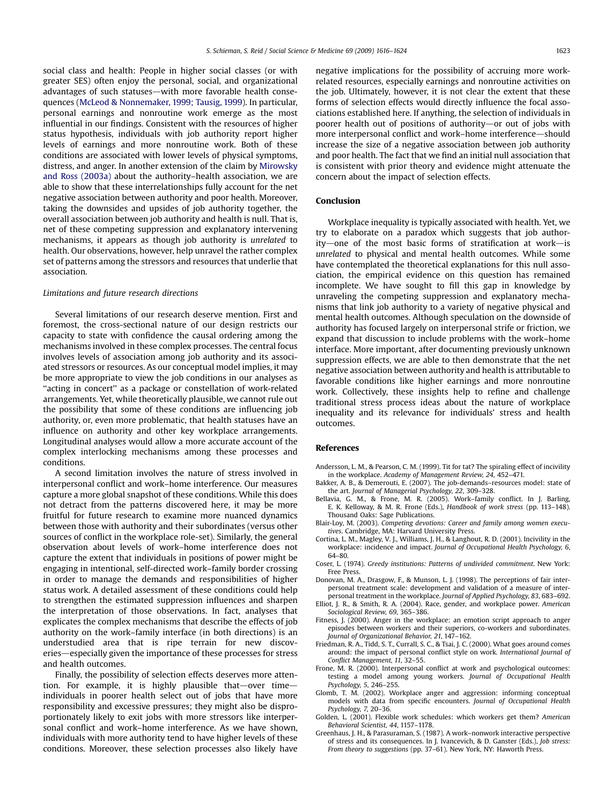<span id="page-8-0"></span>social class and health: People in higher social classes (or with greater SES) often enjoy the personal, social, and organizational advantages of such statuses-with more favorable health consequences [\(McLeod & Nonnemaker, 1999; Tausig, 1999\)](#page-9-0). In particular, personal earnings and nonroutine work emerge as the most influential in our findings. Consistent with the resources of higher status hypothesis, individuals with job authority report higher levels of earnings and more nonroutine work. Both of these conditions are associated with lower levels of physical symptoms, distress, and anger. In another extension of the claim by [Mirowsky](#page-9-0) [and Ross \(2003a\)](#page-9-0) about the authority–health association, we are able to show that these interrelationships fully account for the net negative association between authority and poor health. Moreover, taking the downsides and upsides of job authority together, the overall association between job authority and health is null. That is, net of these competing suppression and explanatory intervening mechanisms, it appears as though job authority is unrelated to health. Our observations, however, help unravel the rather complex set of patterns among the stressors and resources that underlie that association.

# Limitations and future research directions

Several limitations of our research deserve mention. First and foremost, the cross-sectional nature of our design restricts our capacity to state with confidence the causal ordering among the mechanisms involved in these complex processes. The central focus involves levels of association among job authority and its associated stressors or resources. As our conceptual model implies, it may be more appropriate to view the job conditions in our analyses as ''acting in concert'' as a package or constellation of work-related arrangements. Yet, while theoretically plausible, we cannot rule out the possibility that some of these conditions are influencing job authority, or, even more problematic, that health statuses have an influence on authority and other key workplace arrangements. Longitudinal analyses would allow a more accurate account of the complex interlocking mechanisms among these processes and conditions.

A second limitation involves the nature of stress involved in interpersonal conflict and work–home interference. Our measures capture a more global snapshot of these conditions. While this does not detract from the patterns discovered here, it may be more fruitful for future research to examine more nuanced dynamics between those with authority and their subordinates (versus other sources of conflict in the workplace role-set). Similarly, the general observation about levels of work–home interference does not capture the extent that individuals in positions of power might be engaging in intentional, self-directed work–family border crossing in order to manage the demands and responsibilities of higher status work. A detailed assessment of these conditions could help to strengthen the estimated suppression influences and sharpen the interpretation of those observations. In fact, analyses that explicates the complex mechanisms that describe the effects of job authority on the work–family interface (in both directions) is an understudied area that is ripe terrain for new discoveries—especially given the importance of these processes for stress and health outcomes.

Finally, the possibility of selection effects deserves more attention. For example, it is highly plausible that—over timeindividuals in poorer health select out of jobs that have more responsibility and excessive pressures; they might also be disproportionately likely to exit jobs with more stressors like interpersonal conflict and work–home interference. As we have shown, individuals with more authority tend to have higher levels of these conditions. Moreover, these selection processes also likely have negative implications for the possibility of accruing more workrelated resources, especially earnings and nonroutine activities on the job. Ultimately, however, it is not clear the extent that these forms of selection effects would directly influence the focal associations established here. If anything, the selection of individuals in poorer health out of positions of authority-or out of jobs with more interpersonal conflict and work–home interference—should increase the size of a negative association between job authority and poor health. The fact that we find an initial null association that is consistent with prior theory and evidence might attenuate the concern about the impact of selection effects.

# Conclusion

Workplace inequality is typically associated with health. Yet, we try to elaborate on a paradox which suggests that job authority-one of the most basic forms of stratification at work-is unrelated to physical and mental health outcomes. While some have contemplated the theoretical explanations for this null association, the empirical evidence on this question has remained incomplete. We have sought to fill this gap in knowledge by unraveling the competing suppression and explanatory mechanisms that link job authority to a variety of negative physical and mental health outcomes. Although speculation on the downside of authority has focused largely on interpersonal strife or friction, we expand that discussion to include problems with the work–home interface. More important, after documenting previously unknown suppression effects, we are able to then demonstrate that the net negative association between authority and health is attributable to favorable conditions like higher earnings and more nonroutine work. Collectively, these insights help to refine and challenge traditional stress process ideas about the nature of workplace inequality and its relevance for individuals' stress and health outcomes.

# References

- Andersson, L. M., & Pearson, C. M. (1999). Tit for tat? The spiraling effect of incivility in the workplace. Academy of Management Review, 24, 452–471.
- Bakker, A. B., & Demerouti, E. (2007). The job-demands–resources model: state of the art. Journal of Managerial Psychology, 22, 309–328.
- Bellavia, G. M., & Frone, M. R. (2005). Work–family conflict. In J. Barling, E. K. Kelloway, & M. R. Frone (Eds.), Handbook of work stress (pp. 113–148). Thousand Oaks: Sage Publications.
- Blair-Loy, M. (2003). Competing devotions: Career and family among women executives. Cambridge, MA: Harvard University Press.
- Cortina, L. M., Magley, V. J., Williams, J. H., & Langhout, R. D. (2001). Incivility in the workplace: incidence and impact. Journal of Occupational Health Psychology, 6, 64–80.
- Coser, L. (1974). Greedy institutions: Patterns of undivided commitment. New York: Free Press.
- Donovan, M. A., Drasgow, F., & Munson, L. J. (1998). The perceptions of fair interpersonal treatment scale: development and validation of a measure of interpersonal treatment in the workplace. Journal of Applied Psychology, 83, 683–692.
- Elliot, J. R., & Smith, R. A. (2004). Race, gender, and workplace power. American Sociological Review, 69, 365–386.
- Fitness, J. (2000). Anger in the workplace: an emotion script approach to anger episodes between workers and their superiors, co-workers and subordinates. Journal of Organizational Behavior, 21, 147–162.
- Friedman, R. A., Tidd, S. T., Currall, S. C., & Tsai, J. C. (2000). What goes around comes around: the impact of personal conflict style on work. International Journal of Conflict Management, 11, 32–55.
- Frone, M. R. (2000). Interpersonal conflict at work and psychological outcomes: testing a model among young workers. Journal of Occupational Health Psychology, 5, 246–255.
- Glomb, T. M. (2002). Workplace anger and aggression: informing conceptual models with data from specific encounters. Journal of Occupational Health Psychology, 7, 20–36.
- Golden, L. (2001). Flexible work schedules: which workers get them? American Behavioral Scientist, 44, 1157–1178.
- Greenhaus, J. H., & Parasuraman, S. (1987). A work–nonwork interactive perspective of stress and its consequences. In J. Ivancevich, & D. Ganster (Eds.), Job stress: From theory to suggestions (pp. 37–61). New York, NY: Haworth Press.